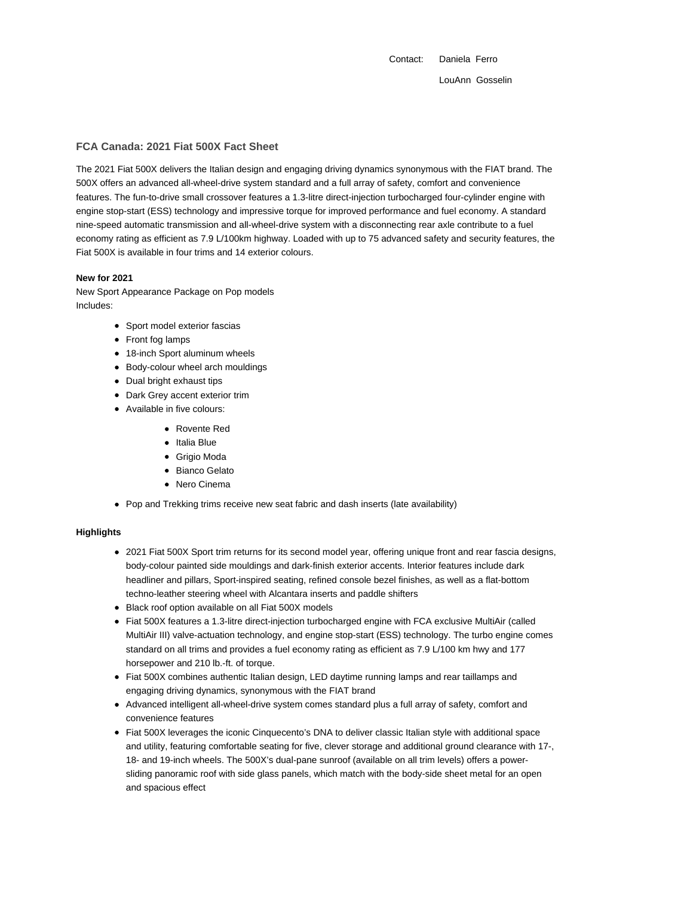Contact: Daniela Ferro LouAnn Gosselin

# **FCA Canada: 2021 Fiat 500X Fact Sheet**

The 2021 Fiat 500X delivers the Italian design and engaging driving dynamics synonymous with the FIAT brand. The 500X offers an advanced all-wheel-drive system standard and a full array of safety, comfort and convenience features. The fun-to-drive small crossover features a 1.3-litre direct-injection turbocharged four-cylinder engine with engine stop-start (ESS) technology and impressive torque for improved performance and fuel economy. A standard nine-speed automatic transmission and all-wheel-drive system with a disconnecting rear axle contribute to a fuel economy rating as efficient as 7.9 L/100km highway. Loaded with up to 75 advanced safety and security features, the Fiat 500X is available in four trims and 14 exterior colours.

### **New for 2021**

New Sport Appearance Package on Pop models Includes:

- Sport model exterior fascias
- Front fog lamps
- 18-inch Sport aluminum wheels
- Body-colour wheel arch mouldings
- Dual bright exhaust tips
- Dark Grey accent exterior trim
- Available in five colours:
	- Rovente Red
	- Italia Blue
	- Grigio Moda
	- Bianco Gelato
	- Nero Cinema
- Pop and Trekking trims receive new seat fabric and dash inserts (late availability)

#### **Highlights**

- 2021 Fiat 500X Sport trim returns for its second model year, offering unique front and rear fascia designs, body-colour painted side mouldings and dark-finish exterior accents. Interior features include dark headliner and pillars, Sport-inspired seating, refined console bezel finishes, as well as a flat-bottom techno-leather steering wheel with Alcantara inserts and paddle shifters
- Black roof option available on all Fiat 500X models
- Fiat 500X features a 1.3-litre direct-injection turbocharged engine with FCA exclusive MultiAir (called MultiAir III) valve-actuation technology, and engine stop-start (ESS) technology. The turbo engine comes standard on all trims and provides a fuel economy rating as efficient as 7.9 L/100 km hwy and 177 horsepower and 210 lb.-ft. of torque.
- Fiat 500X combines authentic Italian design, LED daytime running lamps and rear taillamps and engaging driving dynamics, synonymous with the FIAT brand
- Advanced intelligent all-wheel-drive system comes standard plus a full array of safety, comfort and convenience features
- Fiat 500X leverages the iconic Cinquecento's DNA to deliver classic Italian style with additional space and utility, featuring comfortable seating for five, clever storage and additional ground clearance with 17-, 18- and 19-inch wheels. The 500X's dual-pane sunroof (available on all trim levels) offers a powersliding panoramic roof with side glass panels, which match with the body-side sheet metal for an open and spacious effect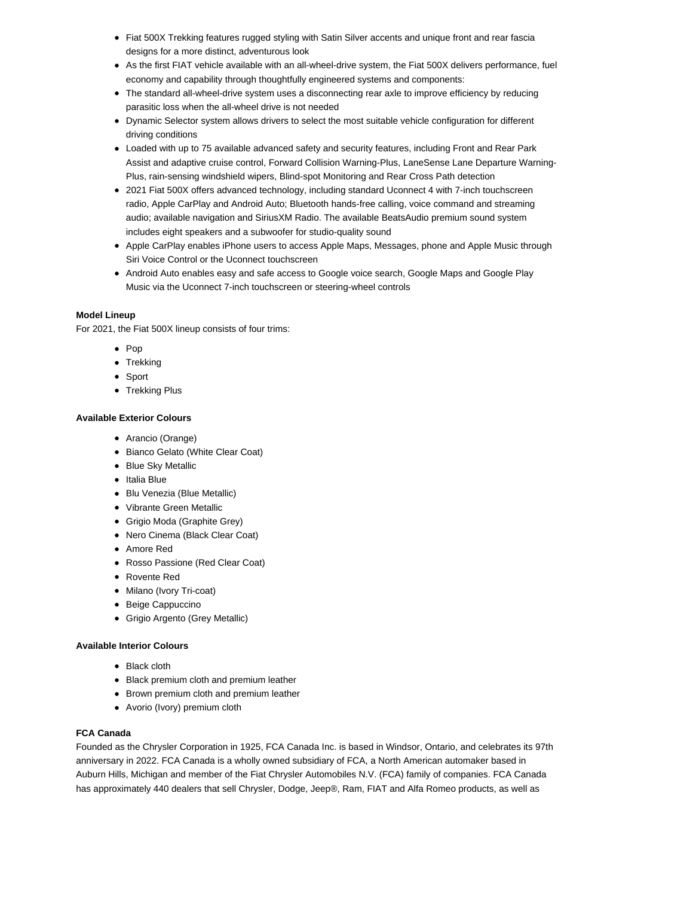- Fiat 500X Trekking features rugged styling with Satin Silver accents and unique front and rear fascia designs for a more distinct, adventurous look
- As the first FIAT vehicle available with an all-wheel-drive system, the Fiat 500X delivers performance, fuel economy and capability through thoughtfully engineered systems and components:
- The standard all-wheel-drive system uses a disconnecting rear axle to improve efficiency by reducing parasitic loss when the all-wheel drive is not needed
- Dynamic Selector system allows drivers to select the most suitable vehicle configuration for different driving conditions
- Loaded with up to 75 available advanced safety and security features, including Front and Rear Park Assist and adaptive cruise control, Forward Collision Warning-Plus, LaneSense Lane Departure Warning-Plus, rain-sensing windshield wipers, Blind-spot Monitoring and Rear Cross Path detection
- 2021 Fiat 500X offers advanced technology, including standard Uconnect 4 with 7-inch touchscreen radio, Apple CarPlay and Android Auto; Bluetooth hands-free calling, voice command and streaming audio; available navigation and SiriusXM Radio. The available BeatsAudio premium sound system includes eight speakers and a subwoofer for studio-quality sound
- Apple CarPlay enables iPhone users to access Apple Maps, Messages, phone and Apple Music through Siri Voice Control or the Uconnect touchscreen
- Android Auto enables easy and safe access to Google voice search, Google Maps and Google Play Music via the Uconnect 7-inch touchscreen or steering-wheel controls

## **Model Lineup**

For 2021, the Fiat 500X lineup consists of four trims:

- Pop
- Trekking
- Sport
- Trekking Plus

# **Available Exterior Colours**

- Arancio (Orange)
- Bianco Gelato (White Clear Coat)
- Blue Sky Metallic
- Italia Blue
- Blu Venezia (Blue Metallic)
- Vibrante Green Metallic
- Grigio Moda (Graphite Grey)
- Nero Cinema (Black Clear Coat)
- Amore Red
- Rosso Passione (Red Clear Coat)
- Rovente Red
- Milano (Ivory Tri-coat)
- Beige Cappuccino
- Grigio Argento (Grey Metallic)

## **Available Interior Colours**

- Black cloth
- Black premium cloth and premium leather
- Brown premium cloth and premium leather
- Avorio (Ivory) premium cloth

## **FCA Canada**

Founded as the Chrysler Corporation in 1925, FCA Canada Inc. is based in Windsor, Ontario, and celebrates its 97th anniversary in 2022. FCA Canada is a wholly owned subsidiary of FCA, a North American automaker based in Auburn Hills, Michigan and member of the Fiat Chrysler Automobiles N.V. (FCA) family of companies. FCA Canada has approximately 440 dealers that sell Chrysler, Dodge, Jeep®, Ram, FIAT and Alfa Romeo products, as well as